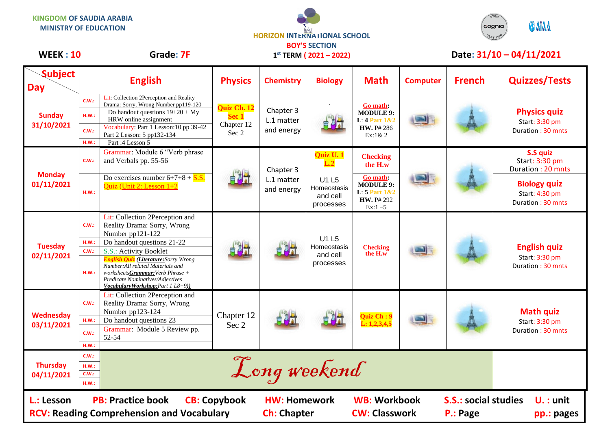**KINGDOM OF SAUDIA ARABIA MINISTRY OF EDUCATION**



**1 st TERM ( 2021 – 2022)**



## WEEK : 10 Grade: 7F 1<sup>st</sup> TERM (2021 – 2022) Date: 31/10 – 04/11/2021

| <b>Subject</b><br><b>Day</b>                                                                                                                                                                                                                                            | <b>English</b>                                   |                                                                                                                                                                                                                                           | <b>Physics</b>                              | <b>Chemistry</b>                      | <b>Biology</b>                                                        | <b>Math</b>                                                                    | <b>Computer</b> | <b>French</b> | <b>Quizzes/Tests</b>                                       |
|-------------------------------------------------------------------------------------------------------------------------------------------------------------------------------------------------------------------------------------------------------------------------|--------------------------------------------------|-------------------------------------------------------------------------------------------------------------------------------------------------------------------------------------------------------------------------------------------|---------------------------------------------|---------------------------------------|-----------------------------------------------------------------------|--------------------------------------------------------------------------------|-----------------|---------------|------------------------------------------------------------|
| <b>Sunday</b><br>31/10/2021                                                                                                                                                                                                                                             | C.W.:<br>H.W.:<br>C.W.:<br>H.W.:                 | Lit: Collection 2Perception and Reality<br>Drama: Sorry, Wrong Number pp119-120<br>Do handout questions $19+20 + My$<br>HRW online assignment<br>Vocabulary: Part 1 Lesson: 10 pp 39-42<br>Part 2 Lesson: 5 pp132-134<br>Part: 4 Lesson 5 | Quiz Ch. 12<br>Sec 1<br>Chapter 12<br>Sec 2 | Chapter 3<br>L.1 matter<br>and energy |                                                                       | Go math:<br><b>MODULE 9:</b><br>L: $4$ Part $1&82$<br>HW. P# 286<br>Ex:1&2     |                 |               | <b>Physics quiz</b><br>Start: 3:30 pm<br>Duration: 30 mnts |
| <b>Monday</b><br>01/11/2021                                                                                                                                                                                                                                             | C.W.:                                            | Grammar: Module 6 "Verb phrase<br>and Verbals pp. 55-56                                                                                                                                                                                   |                                             | Chapter 3<br>L.1 matter<br>and energy | Quiz U. 1<br>L.2                                                      | <b>Checking</b><br>the H.w                                                     |                 |               | S.S quiz<br>Start: 3:30 pm<br>Duration: 20 mnts            |
|                                                                                                                                                                                                                                                                         | H.W.:                                            | Do exercises number $6+7+8 + S.S.$<br>Quiz (Unit 2: Lesson 1+2                                                                                                                                                                            |                                             |                                       | U1 L5<br>Homeostasis<br>and cell<br>processes                         | Go math:<br><b>MODULE 9:</b><br>L: 5 Part 1&2<br><b>HW.</b> P# 292<br>$Ex:1-5$ |                 |               | <b>Biology quiz</b><br>Start: 4:30 pm<br>Duration: 30 mnts |
| <b>Tuesday</b><br>02/11/2021                                                                                                                                                                                                                                            | C.W.:                                            | Lit: Collection 2Perception and<br>Reality Drama: Sorry, Wrong<br>Number pp121-122                                                                                                                                                        |                                             |                                       | U <sub>1</sub> L <sub>5</sub><br>Homeostasis<br>and cell<br>processes | <b>Checking</b><br>the H.w                                                     |                 |               |                                                            |
|                                                                                                                                                                                                                                                                         | H.W.:<br>C.W.:                                   | Do handout questions 21-22<br>S.S.: Activity Booklet<br><b>English Quiz</b> (Literature: Sorry Wrong                                                                                                                                      |                                             |                                       |                                                                       |                                                                                |                 |               | <b>English quiz</b><br>Start: 3:30 pm                      |
|                                                                                                                                                                                                                                                                         | H.W.:                                            | Number: All related Materials and<br>worksheetsGrammar: Verb Phrase +<br>Predicate Nominatives/Adjectives<br>Vocabulary Workshop: Part 1 L8+9))                                                                                           |                                             |                                       |                                                                       |                                                                                |                 |               | Duration: 30 mnts                                          |
| Wednesday<br>03/11/2021                                                                                                                                                                                                                                                 | C.W.:                                            | Lit: Collection 2Perception and<br>Reality Drama: Sorry, Wrong<br>Number pp123-124                                                                                                                                                        | Chapter 12<br>Sec 2                         |                                       |                                                                       | Quiz Ch: 9<br>L: 1, 2, 3, 4, 5                                                 |                 |               | <b>Math quiz</b><br>Start: 3:30 pm<br>Duration: 30 mnts    |
|                                                                                                                                                                                                                                                                         | H.W.:<br>C.W.:<br>H.W.:                          | Do handout questions 23<br>Grammar: Module 5 Review pp.<br>52-54                                                                                                                                                                          |                                             |                                       |                                                                       |                                                                                |                 |               |                                                            |
| <b>Thursday</b><br>04/11/2021                                                                                                                                                                                                                                           | C.W.:<br>Long weekend<br>H.W.:<br>C.W.:<br>H.W.: |                                                                                                                                                                                                                                           |                                             |                                       |                                                                       |                                                                                |                 |               |                                                            |
| <b>PB: Practice book</b><br><b>WB: Workbook</b><br><b>S.S.: social studies</b><br><b>CB: Copybook</b><br>L.: Lesson<br><b>HW: Homework</b><br>$U.$ : unit<br><b>RCV: Reading Comprehension and Vocabulary</b><br><b>Ch: Chapter</b><br><b>CW: Classwork</b><br>P.: Page |                                                  |                                                                                                                                                                                                                                           |                                             |                                       |                                                                       |                                                                                |                 |               | pp.: pages                                                 |